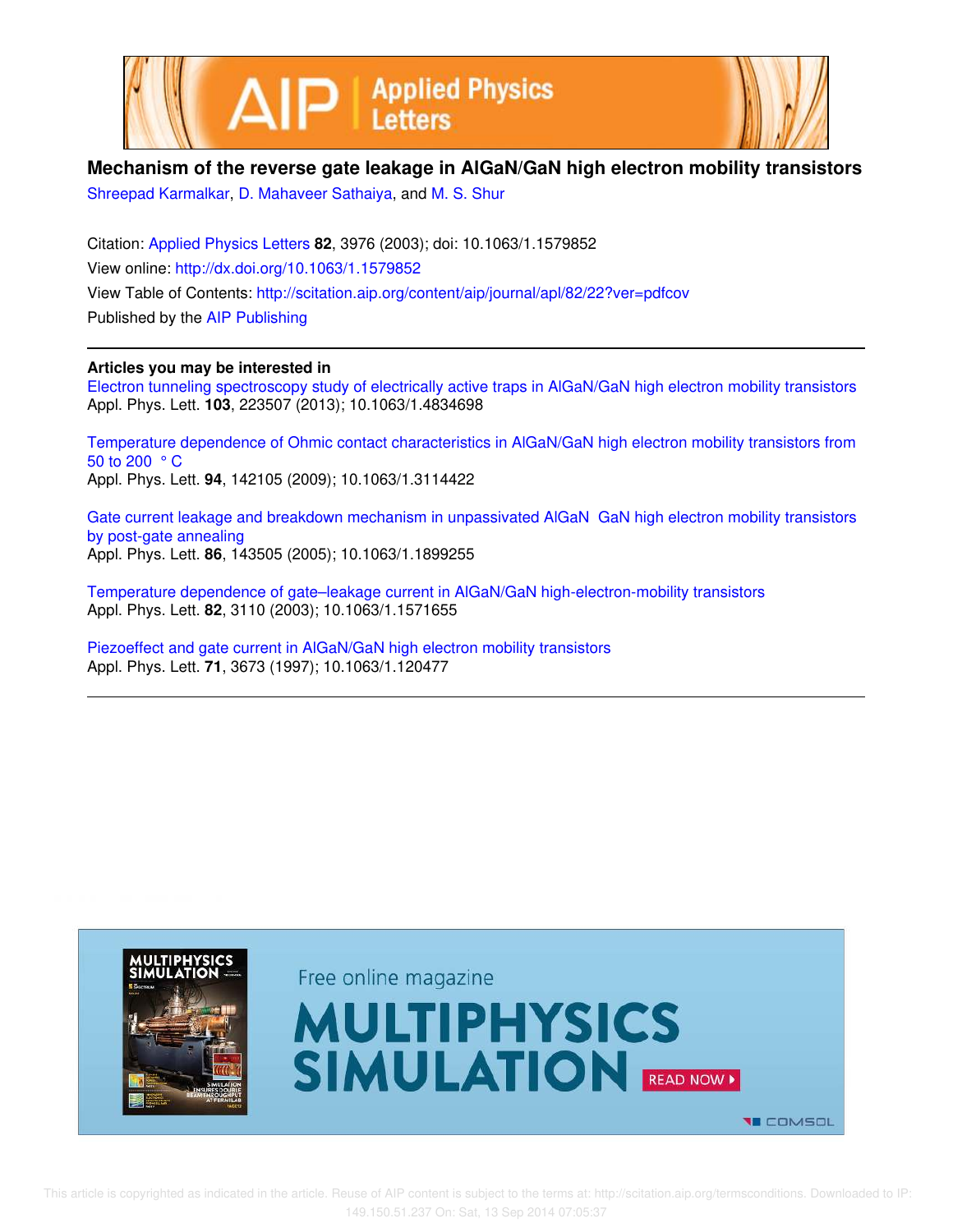



## **Mechanism of the reverse gate leakage in AlGaN/GaN high electron mobility transistors**

Shreepad Karmalkar, D. Mahaveer Sathaiya, and M. S. Shur

Citation: Applied Physics Letters **82**, 3976 (2003); doi: 10.1063/1.1579852 View online: http://dx.doi.org/10.1063/1.1579852 View Table of Contents: http://scitation.aip.org/content/aip/journal/apl/82/22?ver=pdfcov Published by the AIP Publishing

## **Articles you may be interested in**

Electron tunneling spectroscopy study of electrically active traps in AlGaN/GaN high electron mobility transistors Appl. Phys. Lett. **103**, 223507 (2013); 10.1063/1.4834698

Temperature dependence of Ohmic contact characteristics in AlGaN/GaN high electron mobility transistors from 50 to 200 ° C Appl. Phys. Lett. **94**, 142105 (2009); 10.1063/1.3114422

Gate current leakage and breakdown mechanism in unpassivated AlGaN GaN high electron mobility transistors by post-gate annealing Appl. Phys. Lett. **86**, 143505 (2005); 10.1063/1.1899255

Temperature dependence of gate–leakage current in AlGaN/GaN high-electron-mobility transistors Appl. Phys. Lett. **82**, 3110 (2003); 10.1063/1.1571655

Piezoeffect and gate current in AlGaN/GaN high electron mobility transistors Appl. Phys. Lett. **71**, 3673 (1997); 10.1063/1.120477

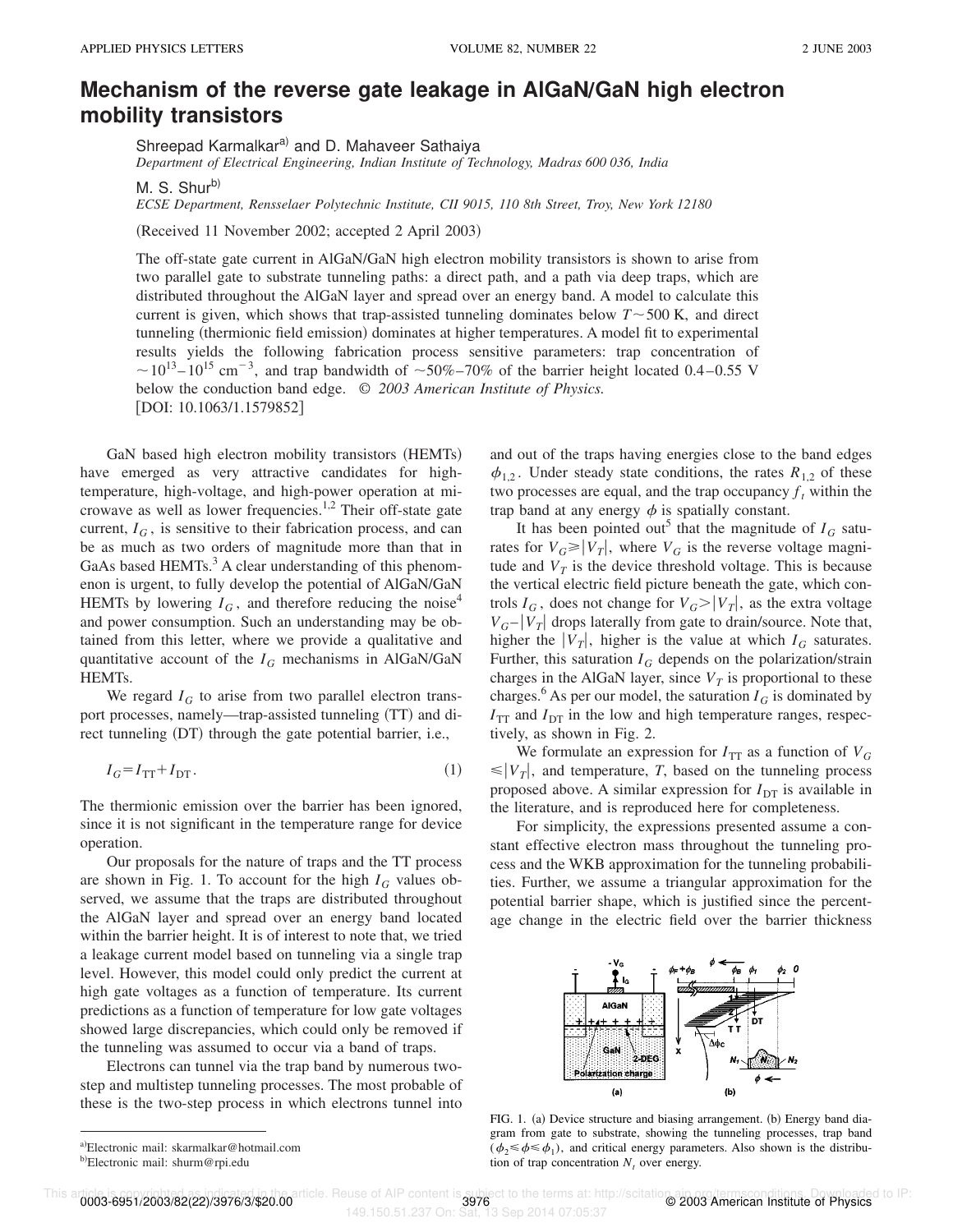## **Mechanism of the reverse gate leakage in AlGaNÕGaN high electron mobility transistors**

Shreepad Karmalkar<sup>a)</sup> and D. Mahaveer Sathaiya *Department of Electrical Engineering, Indian Institute of Technology, Madras 600 036, India*

M. S. Shur<sup>b)</sup>

*ECSE Department, Rensselaer Polytechnic Institute, CII 9015, 110 8th Street, Troy, New York 12180*

(Received 11 November 2002; accepted 2 April 2003)

The off-state gate current in AlGaN/GaN high electron mobility transistors is shown to arise from two parallel gate to substrate tunneling paths: a direct path, and a path via deep traps, which are distributed throughout the AlGaN layer and spread over an energy band. A model to calculate this current is given, which shows that trap-assisted tunneling dominates below  $T \sim 500 \text{ K}$ , and direct tunneling (thermionic field emission) dominates at higher temperatures. A model fit to experimental results yields the following fabrication process sensitive parameters: trap concentration of  $\sim$  10<sup>13</sup>–10<sup>15</sup> cm<sup>-3</sup>, and trap bandwidth of  $\sim$  50%–70% of the barrier height located 0.4–0.55 V below the conduction band edge. © *2003 American Institute of Physics.* [DOI: 10.1063/1.1579852]

GaN based high electron mobility transistors (HEMTs) have emerged as very attractive candidates for hightemperature, high-voltage, and high-power operation at microwave as well as lower frequencies.<sup>1,2</sup> Their off-state gate current,  $I_G$ , is sensitive to their fabrication process, and can be as much as two orders of magnitude more than that in GaAs based HEMTs.<sup>3</sup> A clear understanding of this phenomenon is urgent, to fully develop the potential of AlGaN/GaN HEMTs by lowering  $I_G$ , and therefore reducing the noise<sup>4</sup> and power consumption. Such an understanding may be obtained from this letter, where we provide a qualitative and quantitative account of the  $I_G$  mechanisms in AlGaN/GaN HEMTs.

We regard  $I_G$  to arise from two parallel electron transport processes, namely—trap-assisted tunneling  $(TT)$  and direct tunneling (DT) through the gate potential barrier, i.e.,

$$
I_G = I_{TT} + I_{DT}.\tag{1}
$$

The thermionic emission over the barrier has been ignored, since it is not significant in the temperature range for device operation.

Our proposals for the nature of traps and the TT process are shown in Fig. 1. To account for the high  $I_G$  values observed, we assume that the traps are distributed throughout the AlGaN layer and spread over an energy band located within the barrier height. It is of interest to note that, we tried a leakage current model based on tunneling via a single trap level. However, this model could only predict the current at high gate voltages as a function of temperature. Its current predictions as a function of temperature for low gate voltages showed large discrepancies, which could only be removed if the tunneling was assumed to occur via a band of traps.

Electrons can tunnel via the trap band by numerous twostep and multistep tunneling processes. The most probable of these is the two-step process in which electrons tunnel into and out of the traps having energies close to the band edges  $\phi_{1,2}$ . Under steady state conditions, the rates  $R_{1,2}$  of these two processes are equal, and the trap occupancy  $f_t$  within the trap band at any energy  $\phi$  is spatially constant.

It has been pointed out<sup>5</sup> that the magnitude of  $I_G$  saturates for  $V_G \ge |V_T|$ , where  $V_G$  is the reverse voltage magnitude and  $V_T$  is the device threshold voltage. This is because the vertical electric field picture beneath the gate, which controls  $I_G$ , does not change for  $V_G > |V_T|$ , as the extra voltage  $V_G - |V_T|$  drops laterally from gate to drain/source. Note that, higher the  $|V_T|$ , higher is the value at which  $I_G$  saturates. Further, this saturation  $I_G$  depends on the polarization/strain charges in the AlGaN layer, since  $V_T$  is proportional to these charges.<sup>6</sup> As per our model, the saturation  $I_G$  is dominated by  $I_{TT}$  and  $I_{DT}$  in the low and high temperature ranges, respectively, as shown in Fig. 2.

We formulate an expression for  $I_{TT}$  as a function of  $V_G$  $\leq |V_T|$ , and temperature, *T*, based on the tunneling process proposed above. A similar expression for  $I_{DT}$  is available in the literature, and is reproduced here for completeness.

For simplicity, the expressions presented assume a constant effective electron mass throughout the tunneling process and the WKB approximation for the tunneling probabilities. Further, we assume a triangular approximation for the potential barrier shape, which is justified since the percentage change in the electric field over the barrier thickness



FIG. 1. (a) Device structure and biasing arrangement. (b) Energy band diagram from gate to substrate, showing the tunneling processes, trap band  $(\phi_2 \le \phi \le \phi_1)$ , and critical energy parameters. Also shown is the distribution of trap concentration  $N_t$  over energy.

This article. Reuse of AIP content is subject to the terms at: http://scitationa.pin.063-6951/2003/82(22)/3976/3/\$20.00<br>149.150.51.237 On: Sat, 13 Sep 2014 07:05:37

<sup>a</sup>!Electronic mail: skarmalkar@hotmail.com

b)Electronic mail: shurm@rpi.edu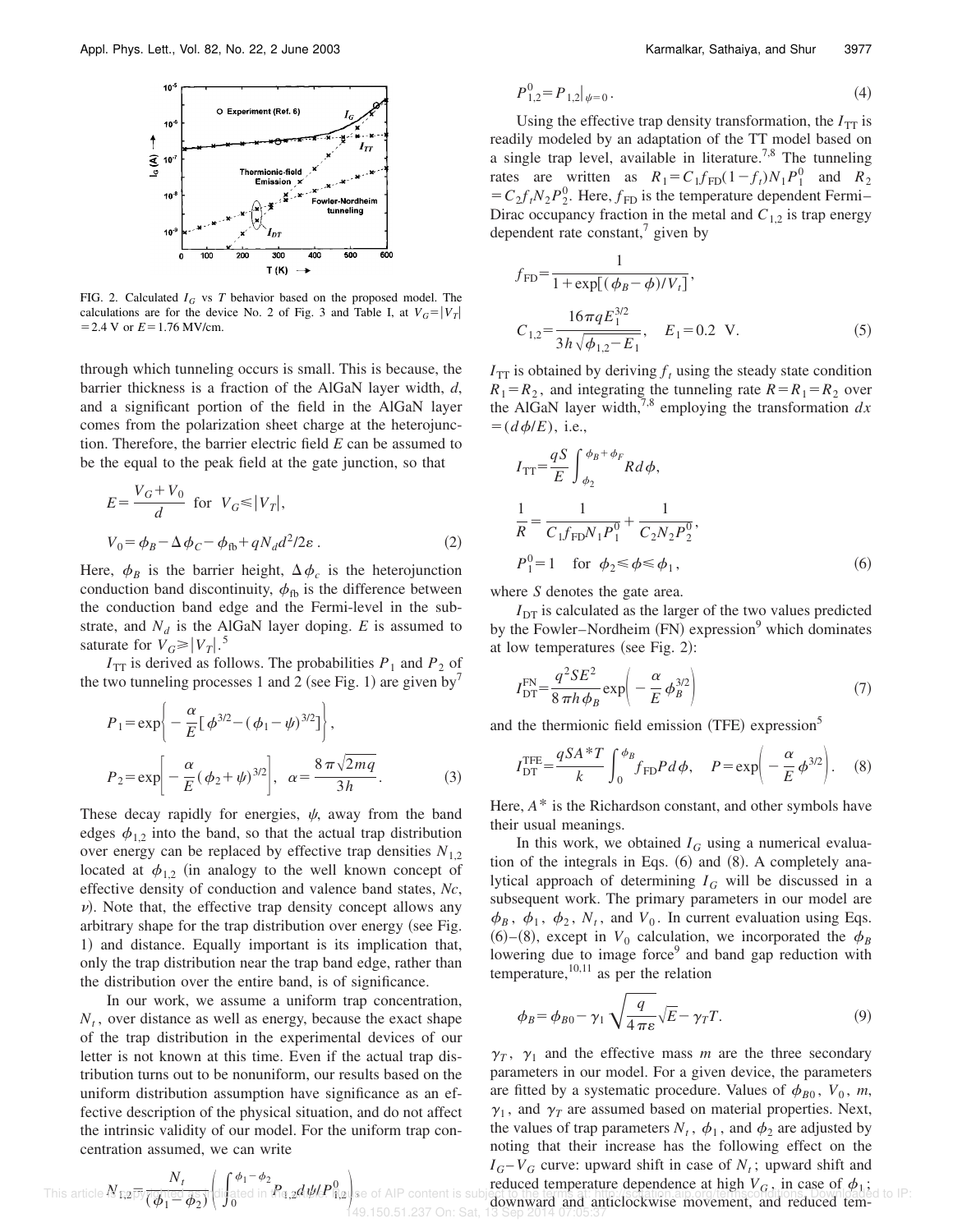

FIG. 2. Calculated *I<sup>G</sup>* vs *T* behavior based on the proposed model. The calculations are for the device No. 2 of Fig. 3 and Table I, at  $V_G = |V_T|$  $=$  2.4 V or  $E = 1.76$  MV/cm.

through which tunneling occurs is small. This is because, the barrier thickness is a fraction of the AlGaN layer width, *d*, and a significant portion of the field in the AlGaN layer comes from the polarization sheet charge at the heterojunction. Therefore, the barrier electric field *E* can be assumed to be the equal to the peak field at the gate junction, so that

$$
E = \frac{V_G + V_0}{d} \text{ for } V_G \le |V_T|,
$$
  

$$
V_0 = \phi_B - \Delta \phi_C - \phi_{\text{fb}} + qN_d d^2 / 2\varepsilon.
$$
 (2)

Here,  $\phi_B$  is the barrier height,  $\Delta \phi_c$  is the heterojunction conduction band discontinuity,  $\phi_{\text{fb}}$  is the difference between the conduction band edge and the Fermi-level in the substrate, and  $N_d$  is the AlGaN layer doping. *E* is assumed to saturate for  $V_G \ge |V_T|$ .<sup>5</sup>

 $I_{TT}$  is derived as follows. The probabilities  $P_1$  and  $P_2$  of the two tunneling processes 1 and 2 (see Fig. 1) are given by<sup>7</sup>

$$
P_1 = \exp\left\{-\frac{\alpha}{E} [\phi^{3/2} - (\phi_1 - \psi)^{3/2}] \right\},\
$$
  

$$
P_2 = \exp\left[-\frac{\alpha}{E} (\phi_2 + \psi)^{3/2}\right], \quad \alpha = \frac{8\pi\sqrt{2mq}}{3h}.
$$
 (3)

These decay rapidly for energies,  $\psi$ , away from the band edges  $\phi_{12}$  into the band, so that the actual trap distribution over energy can be replaced by effective trap densities  $N_{1,2}$ located at  $\phi_{1,2}$  (in analogy to the well known concept of effective density of conduction and valence band states, *Nc*,  $\nu$ ). Note that, the effective trap density concept allows any arbitrary shape for the trap distribution over energy (see Fig. 1) and distance. Equally important is its implication that, only the trap distribution near the trap band edge, rather than the distribution over the entire band, is of significance.

In our work, we assume a uniform trap concentration,  $N_t$ , over distance as well as energy, because the exact shape of the trap distribution in the experimental devices of our letter is not known at this time. Even if the actual trap distribution turns out to be nonuniform, our results based on the uniform distribution assumption have significance as an effective description of the physical situation, and do not affect the intrinsic validity of our model. For the uniform trap concentration assumed, we can write

$$
P_{1,2}^0 = P_{1,2}|_{\psi=0}.\tag{4}
$$

Using the effective trap density transformation, the  $I_{TT}$  is readily modeled by an adaptation of the TT model based on a single trap level, available in literature.<sup>7,8</sup> The tunneling rates are written as  $R_1 = C_1 f_{FD} (1 - f_t) N_1 P_1^0$  and  $R_2^0$  $=C_2 f_t N_2 P_2^0$ . Here,  $f_{FD}$  is the temperature dependent Fermi– Dirac occupancy fraction in the metal and  $C_{1,2}$  is trap energy dependent rate constant, $\frac{7}{7}$  given by

$$
f_{FD} = \frac{1}{1 + \exp[(\phi_B - \phi)/V_t]},
$$
  
\n
$$
C_{1,2} = \frac{16\pi q E_1^{3/2}}{3h\sqrt{\phi_{1,2} - E_1}}, \quad E_1 = 0.2 \text{ V.}
$$
 (5)

 $I_{TT}$  is obtained by deriving  $f_t$  using the steady state condition  $R_1 = R_2$ , and integrating the tunneling rate  $R = R_1 = R_2$  over the AlGaN layer width,<sup>7,8</sup> employing the transformation  $dx$  $=$ ( $d\phi$ /*E*), i.e.,

$$
I_{\text{TT}} = \frac{qS}{E} \int_{\phi_2}^{\phi_B + \phi_F} R d\phi,
$$
  
\n
$$
\frac{1}{R} = \frac{1}{C_1 f_{\text{FD}} N_1 P_1^0} + \frac{1}{C_2 N_2 P_2^0},
$$
  
\n
$$
P_1^0 = 1 \quad \text{for } \phi_2 \le \phi \le \phi_1,
$$
\n(6)

where *S* denotes the gate area.

 $I<sub>DT</sub>$  is calculated as the larger of the two values predicted by the Fowler–Nordheim (FN) expression<sup>9</sup> which dominates at low temperatures (see Fig.  $2$ ):

$$
I_{\rm DT}^{\rm FN} = \frac{q^2 SE^2}{8 \pi h \phi_B} \exp\left(-\frac{\alpha}{E} \phi_B^{3/2}\right) \tag{7}
$$

and the thermionic field emission (TFE) expression<sup>5</sup>

$$
I_{\text{DT}}^{\text{TE}} = \frac{qSA \cdot T}{k} \int_0^{\phi_B} f_{\text{FD}} P \, d\phi, \quad P = \exp\left(-\frac{\alpha}{E} \phi^{3/2}\right). \tag{8}
$$

Here, *A*\* is the Richardson constant, and other symbols have their usual meanings.

In this work, we obtained  $I_G$  using a numerical evaluation of the integrals in Eqs.  $(6)$  and  $(8)$ . A completely analytical approach of determining  $I_G$  will be discussed in a subsequent work. The primary parameters in our model are  $\phi_B$ ,  $\phi_1$ ,  $\phi_2$ ,  $N_t$ , and  $V_0$ . In current evaluation using Eqs.  $(6)$ – $(8)$ , except in  $V_0$  calculation, we incorporated the  $\phi_B$ lowering due to image force<sup>9</sup> and band gap reduction with temperature,  $^{10,11}$  as per the relation

$$
\phi_B = \phi_{B0} - \gamma_1 \sqrt{\frac{q}{4\pi\varepsilon}} \sqrt{E} - \gamma_T T.
$$
\n(9)

 $\gamma_T$ ,  $\gamma_1$  and the effective mass *m* are the three secondary parameters in our model. For a given device, the parameters are fitted by a systematic procedure. Values of  $\phi_{B0}$ ,  $V_0$ ,  $m$ ,  $\gamma_1$ , and  $\gamma_T$  are assumed based on material properties. Next, the values of trap parameters  $N_t$ ,  $\phi_1$ , and  $\phi_2$  are adjusted by noting that their increase has the following effect on the  $I_G - V_G$  curve: upward shift in case of  $N_t$ ; upward shift and reduced temperature dependence at high  $V_G$ , in case of  $\phi_1$ ; downward and anticlockwise movement, and reduced tem-149.150.51.237 On: Sat, 13 Sep 2014 07:05:37